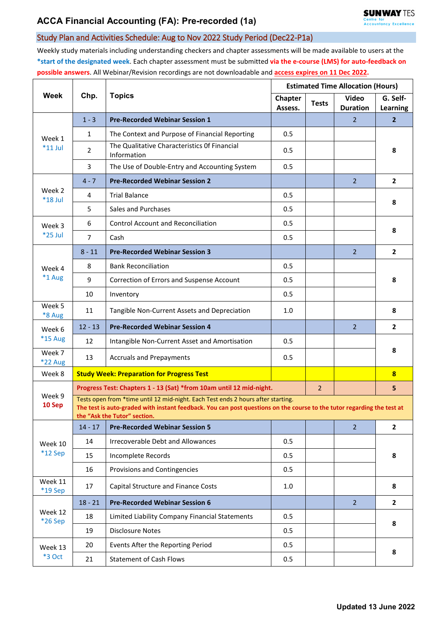## Study Plan and Activities Schedule: Aug to Nov 2022 Study Period (Dec22-P1a)

Weekly study materials including understanding checkers and chapter assessments will be made available to users at the **\*start of the designated week**. Each chapter assessment must be submitted **via the e-course (LMS) for auto-feedback on possible answers**. All Webinar/Revision recordings are not downloadable and **access expires on 11 Dec 2022.**

| Week                     | Chp.                                                                                                                                                                                                                                       | <b>Topics</b>                                                       | <b>Estimated Time Allocation (Hours)</b> |              |                          |                         |  |  |
|--------------------------|--------------------------------------------------------------------------------------------------------------------------------------------------------------------------------------------------------------------------------------------|---------------------------------------------------------------------|------------------------------------------|--------------|--------------------------|-------------------------|--|--|
|                          |                                                                                                                                                                                                                                            |                                                                     | Chapter<br>Assess.                       | <b>Tests</b> | Video<br><b>Duration</b> | G. Self-<br>Learning    |  |  |
| Week 1<br>$*11$ Jul      | $1 - 3$                                                                                                                                                                                                                                    | <b>Pre-Recorded Webinar Session 1</b>                               |                                          |              | $\overline{2}$           | $\overline{2}$          |  |  |
|                          | $\mathbf{1}$                                                                                                                                                                                                                               | The Context and Purpose of Financial Reporting                      | 0.5                                      |              |                          | 8                       |  |  |
|                          | $\overline{2}$                                                                                                                                                                                                                             | The Qualitative Characteristics Of Financial<br>Information         | 0.5                                      |              |                          |                         |  |  |
|                          | 3                                                                                                                                                                                                                                          | The Use of Double-Entry and Accounting System                       | 0.5                                      |              |                          |                         |  |  |
| Week 2<br>$*18$ Jul      | $4 - 7$                                                                                                                                                                                                                                    | <b>Pre-Recorded Webinar Session 2</b>                               |                                          |              | $\overline{2}$           | $\overline{2}$          |  |  |
|                          | $\overline{4}$                                                                                                                                                                                                                             | <b>Trial Balance</b>                                                | 0.5                                      |              |                          | 8                       |  |  |
|                          | 5                                                                                                                                                                                                                                          | Sales and Purchases                                                 | 0.5                                      |              |                          |                         |  |  |
| Week 3<br>*25 Jul        | 6                                                                                                                                                                                                                                          | <b>Control Account and Reconciliation</b>                           | 0.5                                      |              |                          | 8                       |  |  |
|                          | $\overline{7}$                                                                                                                                                                                                                             | Cash                                                                | 0.5                                      |              |                          |                         |  |  |
| Week 4<br>*1 Aug         | $8 - 11$                                                                                                                                                                                                                                   | <b>Pre-Recorded Webinar Session 3</b>                               |                                          |              | $\overline{2}$           | $\overline{2}$          |  |  |
|                          | 8                                                                                                                                                                                                                                          | <b>Bank Reconciliation</b>                                          | 0.5                                      |              |                          | 8                       |  |  |
|                          | 9                                                                                                                                                                                                                                          | Correction of Errors and Suspense Account                           | 0.5                                      |              |                          |                         |  |  |
|                          | 10                                                                                                                                                                                                                                         | Inventory                                                           | 0.5                                      |              |                          |                         |  |  |
| Week 5<br>*8 Aug         | 11                                                                                                                                                                                                                                         | Tangible Non-Current Assets and Depreciation                        | 1.0                                      |              |                          | 8                       |  |  |
| Week 6                   | $12 - 13$                                                                                                                                                                                                                                  | <b>Pre-Recorded Webinar Session 4</b>                               |                                          |              | $\overline{2}$           | $\mathbf{2}$            |  |  |
| *15 Aug                  | 12                                                                                                                                                                                                                                         | Intangible Non-Current Asset and Amortisation                       | 0.5                                      |              |                          | 8                       |  |  |
| Week 7<br><b>*22 Aug</b> | 13                                                                                                                                                                                                                                         | <b>Accruals and Prepayments</b>                                     | 0.5                                      |              |                          |                         |  |  |
| Week 8                   |                                                                                                                                                                                                                                            | <b>Study Week: Preparation for Progress Test</b>                    |                                          |              |                          | $\overline{\mathbf{8}}$ |  |  |
| Week 9<br>10 Sep         |                                                                                                                                                                                                                                            | Progress Test: Chapters 1 - 13 (Sat) *from 10am until 12 mid-night. |                                          |              |                          | 5                       |  |  |
|                          | Tests open from *time until 12 mid-night. Each Test ends 2 hours after starting.<br>The test is auto-graded with instant feedback. You can post questions on the course to the tutor regarding the test at<br>the "Ask the Tutor" section. |                                                                     |                                          |              |                          |                         |  |  |
| Week 10<br>*12 Sep       | $14 - 17$                                                                                                                                                                                                                                  | <b>Pre-Recorded Webinar Session 5</b>                               |                                          |              | $\overline{2}$           | $\mathbf{2}$            |  |  |
|                          | 14                                                                                                                                                                                                                                         | <b>Irrecoverable Debt and Allowances</b>                            | 0.5                                      |              |                          | 8                       |  |  |
|                          | 15                                                                                                                                                                                                                                         | Incomplete Records                                                  | 0.5                                      |              |                          |                         |  |  |
|                          | 16                                                                                                                                                                                                                                         | Provisions and Contingencies                                        | 0.5                                      |              |                          |                         |  |  |
| Week 11<br>*19 Sep       | 17                                                                                                                                                                                                                                         | Capital Structure and Finance Costs                                 | 1.0                                      |              |                          | 8                       |  |  |
| Week 12<br>*26 Sep       | $18 - 21$                                                                                                                                                                                                                                  | <b>Pre-Recorded Webinar Session 6</b>                               |                                          |              | $\overline{2}$           | $\overline{2}$          |  |  |
|                          | 18                                                                                                                                                                                                                                         | Limited Liability Company Financial Statements                      | 0.5                                      |              |                          | 8                       |  |  |
|                          | 19                                                                                                                                                                                                                                         | <b>Disclosure Notes</b>                                             | 0.5                                      |              |                          |                         |  |  |
| Week 13<br>*3 Oct        | 20                                                                                                                                                                                                                                         | Events After the Reporting Period                                   | 0.5                                      |              |                          | 8                       |  |  |
|                          | 21                                                                                                                                                                                                                                         | <b>Statement of Cash Flows</b>                                      | 0.5                                      |              |                          |                         |  |  |